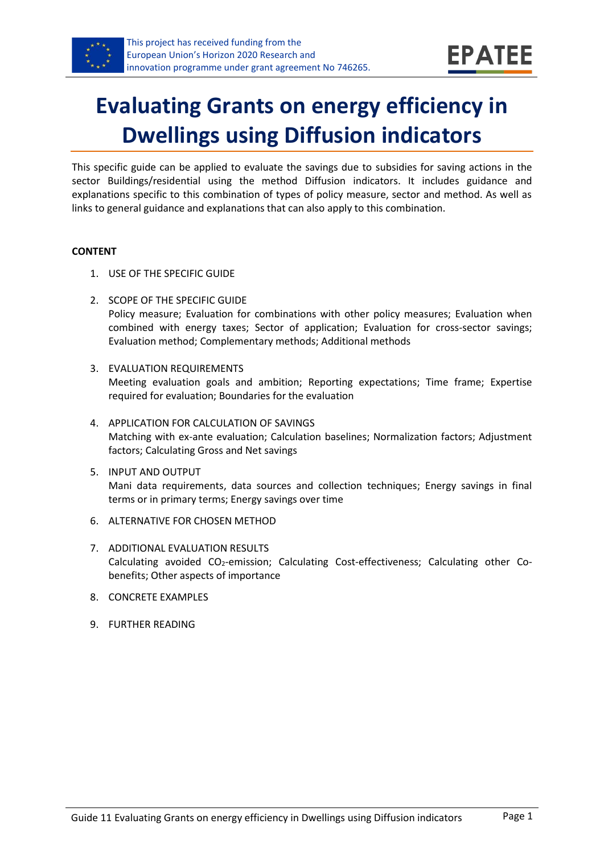

# **Evaluating Grants on energy efficiency in Dwellings using Diffusion indicators**

This specific guide can be applied to evaluate the savings due to subsidies for saving actions in the sector Buildings/residential using the method Diffusion indicators. It includes guidance and explanations specific to this combination of types of policy measure, sector and method. As well as links to general guidance and explanations that can also apply to this combination.

#### **CONTENT**

- 1. USE OF THE SPECIFIC GUIDE
- <span id="page-0-1"></span>2. SCOPE OF THE SPECIFIC GUIDE Policy measure; Evaluation for combinations with other policy measures; Evaluation when combined with energy taxes; Sector of application; Evaluation for cross-sector savings; Evaluation method; Complementary methods; Additional methods
- <span id="page-0-2"></span>3. EVALUATION REQUIREMENTS Meeting evaluation goals and ambition; Reporting expectations; Time frame; Expertise required for evaluation; Boundaries for the evaluation
- <span id="page-0-3"></span>4. APPLICATION FOR CALCULATION OF SAVINGS Matching with ex-ante evaluation; Calculation baselines; Normalization factors; Adjustment factors; Calculating Gross and Net savings
- <span id="page-0-4"></span>5. INPUT AND OUTPUT Mani data requirements, data sources and collection techniques; Energy savings in final terms or in primary terms; Energy savings over time
- <span id="page-0-0"></span>6. ALTERNATIVE FOR CHOSEN METHOD
- <span id="page-0-5"></span>7. ADDITIONAL EVALUATION RESULTS Calculating avoided CO2-emission; Calculating Cost-effectiveness; Calculating other Cobenefits; Other aspects of importance
- <span id="page-0-6"></span>8. CONCRETE EXAMPLES
- <span id="page-0-7"></span>9. FURTHER READING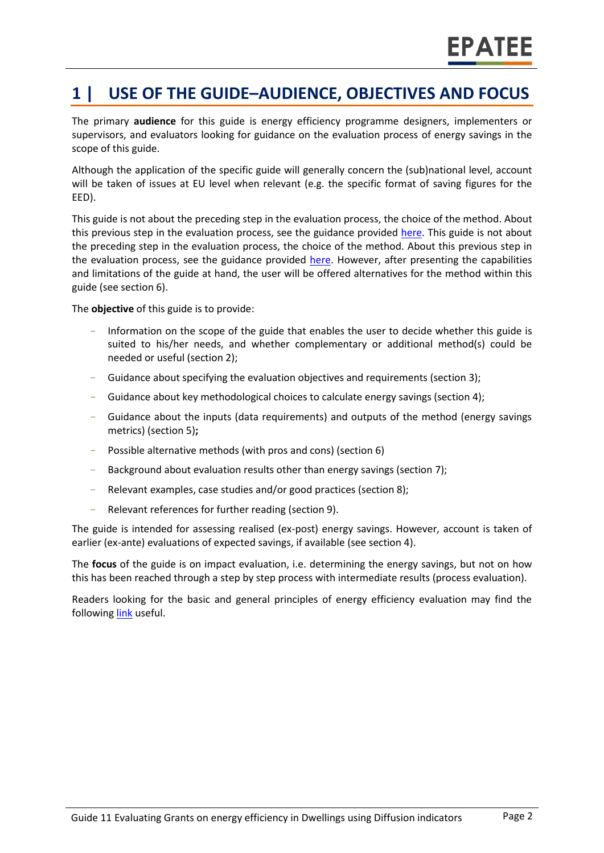# **1 | USE OF THE GUIDE–AUDIENCE, OBJECTIVES AND FOCUS**

The primary **audience** for this guide is energy efficiency programme designers, implementers or supervisors, and evaluators looking for guidance on the evaluation process of energy savings in the scope of this guide.

Although the application of the specific guide will generally concern the (sub)national level, account will be taken of issues at EU level when relevant (e.g. the specific format of saving figures for the EED).

This guide is not about the preceding step in the evaluation process, the choice of the method. About this previous step in the evaluation process, see the guidance provided [here.](https://www.epatee-toolbox.eu/wp-content/uploads/2019/04/epatee_integrating_evaluation_into_policy_cycle.pdf) This guide is not about the preceding step in the evaluation process, the choice of the method. About this previous step in the evaluation process, see the guidance provided [here.](https://www.epatee-toolbox.eu/wp-content/uploads/2019/04/epatee_integrating_evaluation_into_policy_cycle.pdf) However, after presenting the capabilities and limitations of the guide at hand, the user will be offered alternatives for the method within this guide (see section [6\)](#page-0-0).

The **objective** of this guide is to provide:

- Information on the scope of the guide that enables the user to decide whether this guide is suited to his/her needs, and whether complementary or additional method(s) could be needed or useful (sectio[n 2\)](#page-0-1);
- Guidance about specifying the evaluation objectives and requirements (section [3\)](#page-0-2);
- Guidance about key methodological choices to calculate energy savings (section [4\)](#page-0-3);
- Guidance about the inputs (data requirements) and outputs of the method (energy savings metrics) (sectio[n 5\)](#page-0-4)**;**
- Possible alternative methods (with pros and cons) (section [6\)](#page-0-0)
- Background about evaluation results other than energy savings (sectio[n 7\)](#page-0-5);
- Relevant examples, case studies and/or good practices (section [8\)](#page-0-6);
- Relevant references for further reading (section [9\)](#page-0-7).

The guide is intended for assessing realised (ex-post) energy savings. However, account is taken of earlier (ex-ante) evaluations of expected savings, if available (see section [4\)](#page-0-3).

The **focus** of the guide is on impact evaluation, i.e. determining the energy savings, but not on how this has been reached through a step by step process with intermediate results (process evaluation).

Readers looking for the basic and general principles of energy efficiency evaluation may find the followin[g link](https://www.epatee-toolbox.eu/evaluation-principles-and-methods/) useful.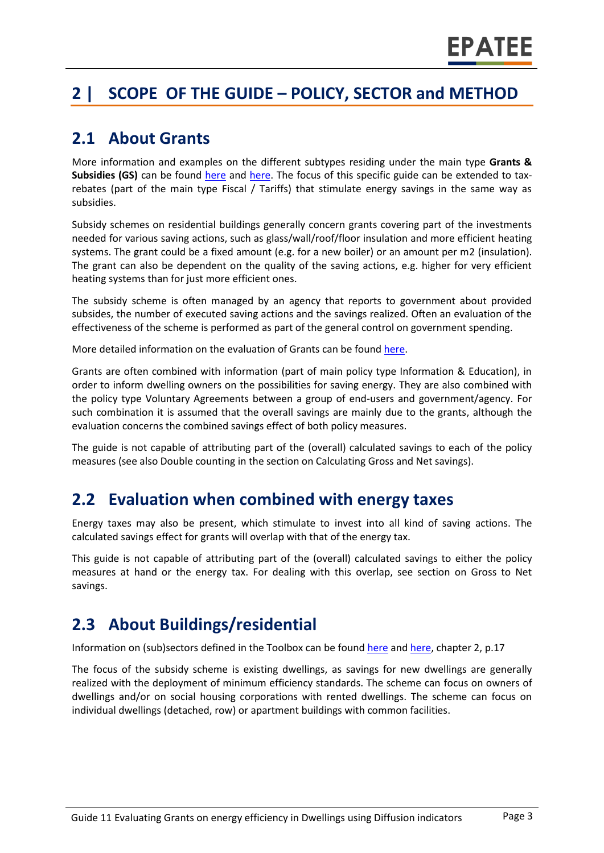# **2 | SCOPE OF THE GUIDE – POLICY, SECTOR and METHOD**

### **2.1 About Grants**

More information and examples on the different subtypes residing under the main type **Grants & Subsidies (GS)** can be found [here](http://www.measures-odyssee-mure.eu/) and [here.](https://epatee.eu/knowledge-base) The focus of this specific guide can be extended to taxrebates (part of the main type Fiscal / Tariffs) that stimulate energy savings in the same way as subsidies.

Subsidy schemes on residential buildings generally concern grants covering part of the investments needed for various saving actions, such as glass/wall/roof/floor insulation and more efficient heating systems. The grant could be a fixed amount (e.g. for a new boiler) or an amount per m2 (insulation). The grant can also be dependent on the quality of the saving actions, e.g. higher for very efficient heating systems than for just more efficient ones.

The subsidy scheme is often managed by an agency that reports to government about provided subsides, the number of executed saving actions and the savings realized. Often an evaluation of the effectiveness of the scheme is performed as part of the general control on government spending.

More detailed information on the evaluation of Grants can be found [here.](https://www.epatee-lib.eu/media/docs/EMEEES_WP2_D1_Assessment_existing_evaluation_2008-04-21.pdf)

Grants are often combined with information (part of main policy type Information & Education), in order to inform dwelling owners on the possibilities for saving energy. They are also combined with the policy type Voluntary Agreements between a group of end-users and government/agency. For such combination it is assumed that the overall savings are mainly due to the grants, although the evaluation concerns the combined savings effect of both policy measures.

The guide is not capable of attributing part of the (overall) calculated savings to each of the policy measures (see also Double counting in the section on Calculating Gross and Net savings).

#### **2.2 Evaluation when combined with energy taxes**

Energy taxes may also be present, which stimulate to invest into all kind of saving actions. The calculated savings effect for grants will overlap with that of the energy tax.

This guide is not capable of attributing part of the (overall) calculated savings to either the policy measures at hand or the energy tax. For dealing with this overlap, see section on Gross to Net savings.

# **2.3 About Buildings/residential**

Information on (sub)sectors defined in the Toolbox can be found [here](http://www.measures-odyssee-mure.eu/) an[d here,](https://www.epatee-lib.eu/) chapter 2, p.17

The focus of the subsidy scheme is existing dwellings, as savings for new dwellings are generally realized with the deployment of minimum efficiency standards. The scheme can focus on owners of dwellings and/or on social housing corporations with rented dwellings. The scheme can focus on individual dwellings (detached, row) or apartment buildings with common facilities.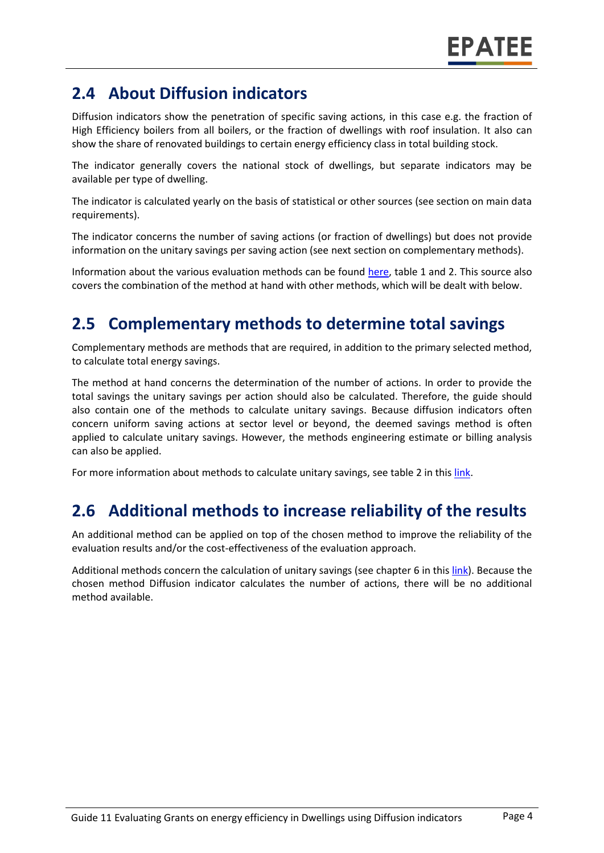# **2.4 About Diffusion indicators**

Diffusion indicators show the penetration of specific saving actions, in this case e.g. the fraction of High Efficiency boilers from all boilers, or the fraction of dwellings with roof insulation. It also can show the share of renovated buildings to certain energy efficiency class in total building stock.

The indicator generally covers the national stock of dwellings, but separate indicators may be available per type of dwelling.

The indicator is calculated yearly on the basis of statistical or other sources (see section on main data requirements).

The indicator concerns the number of saving actions (or fraction of dwellings) but does not provide information on the unitary savings per saving action (see next section on complementary methods).

Information about the various evaluation methods can be found [here,](https://www.epatee-toolbox.eu/wp-content/uploads/2019/04/Saving_calculation_methods_for_EPATEE_Toobox_2019_04_24.pdf) table 1 and 2. This source also covers the combination of the method at hand with other methods, which will be dealt with below.

# **2.5 Complementary methods to determine total savings**

Complementary methods are methods that are required, in addition to the primary selected method, to calculate total energy savings.

The method at hand concerns the determination of the number of actions. In order to provide the total savings the unitary savings per action should also be calculated. Therefore, the guide should also contain one of the methods to calculate unitary savings. Because diffusion indicators often concern uniform saving actions at sector level or beyond, the deemed savings method is often applied to calculate unitary savings. However, the methods engineering estimate or billing analysis can also be applied.

For more information about methods to calculate unitary savings, see table 2 in thi[s link.](https://www.epatee-toolbox.eu/wp-content/uploads/2019/04/Saving_calculation_methods_for_EPATEE_Toobox_2019_04_24.pdf)

# **2.6 Additional methods to increase reliability of the results**

An additional method can be applied on top of the chosen method to improve the reliability of the evaluation results and/or the cost-effectiveness of the evaluation approach.

Additional methods concern the calculation of unitary savings (see chapter 6 in thi[s link\)](https://www.epatee-toolbox.eu/wp-content/uploads/2019/04/Saving_calculation_methods_for_EPATEE_Toobox_2019_04_24.pdf). Because the chosen method Diffusion indicator calculates the number of actions, there will be no additional method available.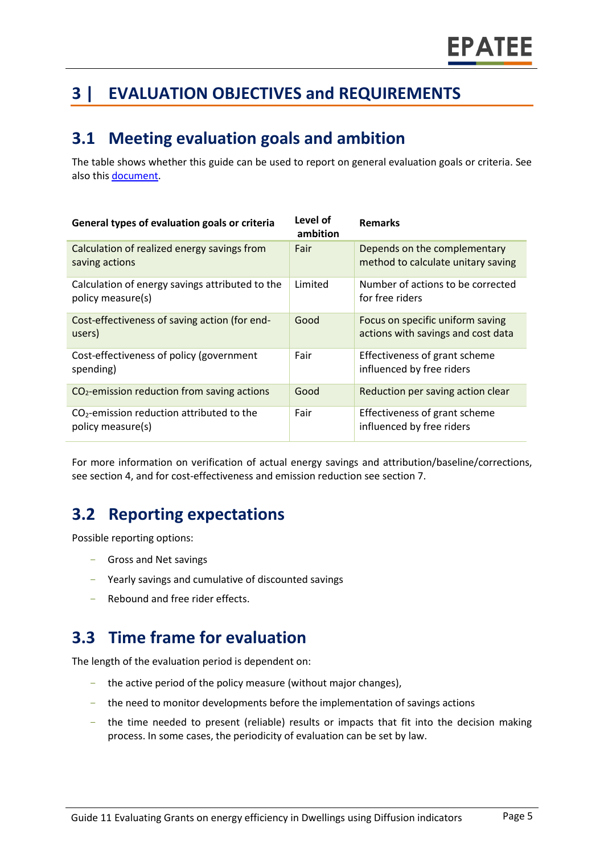# **3 | EVALUATION OBJECTIVES and REQUIREMENTS**

### **3.1 Meeting evaluation goals and ambition**

The table shows whether this guide can be used to report on general evaluation goals or criteria. See also this [document.](https://www.epatee-lib.eu/media/docs/D4_EMEEES_Final.pdf)

| General types of evaluation goals or criteria                        | Level of<br>ambition | <b>Remarks</b>                                                         |
|----------------------------------------------------------------------|----------------------|------------------------------------------------------------------------|
| Calculation of realized energy savings from<br>saving actions        | Fair                 | Depends on the complementary<br>method to calculate unitary saving     |
| Calculation of energy savings attributed to the<br>policy measure(s) | Limited              | Number of actions to be corrected<br>for free riders                   |
| Cost-effectiveness of saving action (for end-<br>users)              | Good                 | Focus on specific uniform saving<br>actions with savings and cost data |
| Cost-effectiveness of policy (government<br>spending)                | Fair                 | Effectiveness of grant scheme<br>influenced by free riders             |
| $CO2$ -emission reduction from saving actions                        | Good                 | Reduction per saving action clear                                      |
| $CO2$ -emission reduction attributed to the<br>policy measure(s)     | Fair                 | Effectiveness of grant scheme<br>influenced by free riders             |

For more information on verification of actual energy savings and attribution/baseline/corrections, see section 4, and for cost-effectiveness and emission reduction see section 7.

# **3.2 Reporting expectations**

Possible reporting options:

- Gross and Net savings
- Yearly savings and cumulative of discounted savings
- Rebound and free rider effects.

#### **3.3 Time frame for evaluation**

The length of the evaluation period is dependent on:

- the active period of the policy measure (without major changes),
- the need to monitor developments before the implementation of savings actions
- the time needed to present (reliable) results or impacts that fit into the decision making process. In some cases, the periodicity of evaluation can be set by law.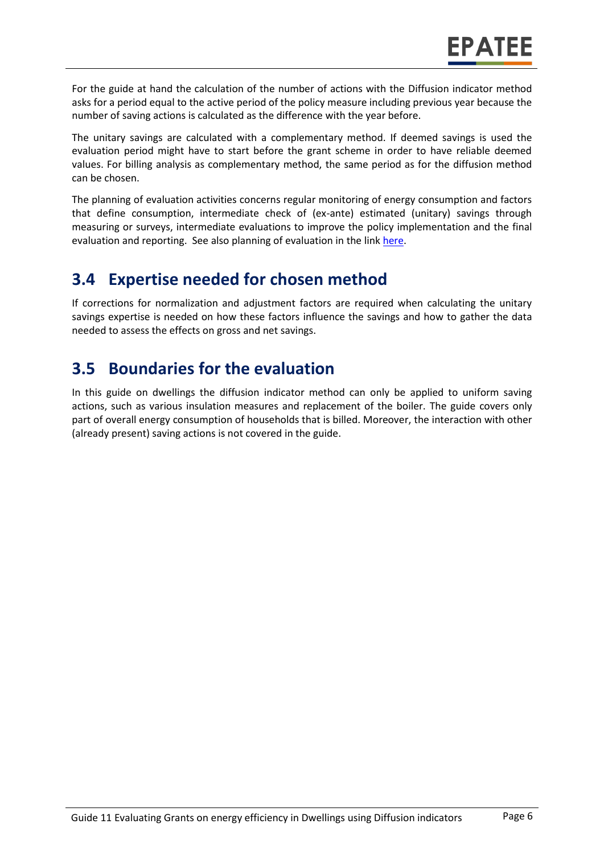For the guide at hand the calculation of the number of actions with the Diffusion indicator method asks for a period equal to the active period of the policy measure including previous year because the number of saving actions is calculated as the difference with the year before.

The unitary savings are calculated with a complementary method. If deemed savings is used the evaluation period might have to start before the grant scheme in order to have reliable deemed values. For billing analysis as complementary method, the same period as for the diffusion method can be chosen.

The planning of evaluation activities concerns regular monitoring of energy consumption and factors that define consumption, intermediate check of (ex-ante) estimated (unitary) savings through measuring or surveys, intermediate evaluations to improve the policy implementation and the final evaluation and reporting. See also planning of evaluation in the link [here.](https://www.epatee-toolbox.eu/wp-content/uploads/2019/04/epatee_integrating_evaluation_into_policy_cycle.pdf)

#### **3.4 Expertise needed for chosen method**

If corrections for normalization and adjustment factors are required when calculating the unitary savings expertise is needed on how these factors influence the savings and how to gather the data needed to assess the effects on gross and net savings.

# **3.5 Boundaries for the evaluation**

In this guide on dwellings the diffusion indicator method can only be applied to uniform saving actions, such as various insulation measures and replacement of the boiler. The guide covers only part of overall energy consumption of households that is billed. Moreover, the interaction with other (already present) saving actions is not covered in the guide.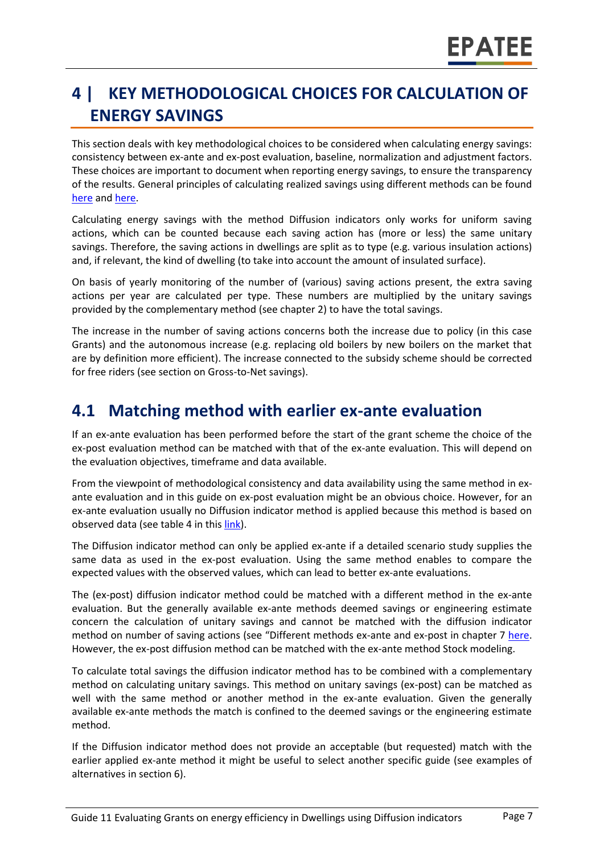# **4 | KEY METHODOLOGICAL CHOICES FOR CALCULATION OF ENERGY SAVINGS**

This section deals with key methodological choices to be considered when calculating energy savings: consistency between ex-ante and ex-post evaluation, baseline, normalization and adjustment factors. These choices are important to document when reporting energy savings, to ensure the transparency of the results. General principles of calculating realized savings using different methods can be found [here](https://www.epatee-lib.eu/media/docs/D4_EMEEES_Final.pdf) and [here.](https://www.epatee-lib.eu/media/docs/EMEEES_WP3_Report_Final.pdf)

Calculating energy savings with the method Diffusion indicators only works for uniform saving actions, which can be counted because each saving action has (more or less) the same unitary savings. Therefore, the saving actions in dwellings are split as to type (e.g. various insulation actions) and, if relevant, the kind of dwelling (to take into account the amount of insulated surface).

On basis of yearly monitoring of the number of (various) saving actions present, the extra saving actions per year are calculated per type. These numbers are multiplied by the unitary savings provided by the complementary method (see chapter 2) to have the total savings.

The increase in the number of saving actions concerns both the increase due to policy (in this case Grants) and the autonomous increase (e.g. replacing old boilers by new boilers on the market that are by definition more efficient). The increase connected to the subsidy scheme should be corrected for free riders (see section on Gross-to-Net savings).

#### **4.1 Matching method with earlier ex-ante evaluation**

If an ex-ante evaluation has been performed before the start of the grant scheme the choice of the ex-post evaluation method can be matched with that of the ex-ante evaluation. This will depend on the evaluation objectives, timeframe and data available.

From the viewpoint of methodological consistency and data availability using the same method in exante evaluation and in this guide on ex-post evaluation might be an obvious choice. However, for an ex-ante evaluation usually no Diffusion indicator method is applied because this method is based on observed data (see table 4 in this [link\)](https://www.epatee-toolbox.eu/wp-content/uploads/2019/04/Saving_calculation_methods_for_EPATEE_Toobox_2019_04_24.pdf).

The Diffusion indicator method can only be applied ex-ante if a detailed scenario study supplies the same data as used in the ex-post evaluation. Using the same method enables to compare the expected values with the observed values, which can lead to better ex-ante evaluations.

The (ex-post) diffusion indicator method could be matched with a different method in the ex-ante evaluation. But the generally available ex-ante methods deemed savings or engineering estimate concern the calculation of unitary savings and cannot be matched with the diffusion indicator method on number of saving actions (see "Different methods ex-ante and ex-post in chapter 7 [here.](https://www.epatee-toolbox.eu/wp-content/uploads/2019/04/Saving_calculation_methods_for_EPATEE_Toobox_2019_04_24.pdf) However, the ex-post diffusion method can be matched with the ex-ante method Stock modeling.

To calculate total savings the diffusion indicator method has to be combined with a complementary method on calculating unitary savings. This method on unitary savings (ex-post) can be matched as well with the same method or another method in the ex-ante evaluation. Given the generally available ex-ante methods the match is confined to the deemed savings or the engineering estimate method.

If the Diffusion indicator method does not provide an acceptable (but requested) match with the earlier applied ex-ante method it might be useful to select another specific guide (see examples of alternatives in section 6).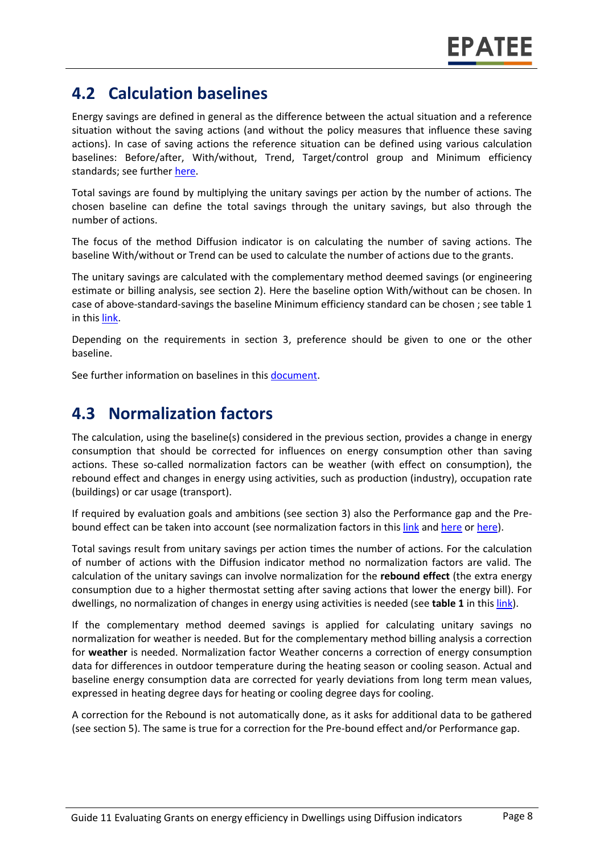### **4.2 Calculation baselines**

Energy savings are defined in general as the difference between the actual situation and a reference situation without the saving actions (and without the policy measures that influence these saving actions). In case of saving actions the reference situation can be defined using various calculation baselines: Before/after, With/without, Trend, Target/control group and Minimum efficiency standards; see further [here.](https://www.epatee-toolbox.eu/wp-content/uploads/2019/04/Application_of_KB_savings_baselines_and_correction_factors_in_the_Toolbox_and_PSMCs_190418_.pdf)

Total savings are found by multiplying the unitary savings per action by the number of actions. The chosen baseline can define the total savings through the unitary savings, but also through the number of actions.

The focus of the method Diffusion indicator is on calculating the number of saving actions. The baseline With/without or Trend can be used to calculate the number of actions due to the grants.

The unitary savings are calculated with the complementary method deemed savings (or engineering estimate or billing analysis, see section 2). Here the baseline option With/without can be chosen. In case of above-standard-savings the baseline Minimum efficiency standard can be chosen ; see table 1 in thi[s link.](https://www.epatee-toolbox.eu/wp-content/uploads/2019/04/Saving_calculation_methods_for_EPATEE_Toobox_2019_04_24.pdf)

Depending on the requirements in section 3, preference should be given to one or the other baseline.

See further information on baselines in this [document.](https://www.academia.edu/14979876/Evaluating_energy_efficiency_policy_measures_and_DSM_programmes)

### **4.3 Normalization factors**

The calculation, using the baseline(s) considered in the previous section, provides a change in energy consumption that should be corrected for influences on energy consumption other than saving actions. These so-called normalization factors can be weather (with effect on consumption), the rebound effect and changes in energy using activities, such as production (industry), occupation rate (buildings) or car usage (transport).

If required by evaluation goals and ambitions (see section 3) also the Performance gap and the Prebound effect can be taken into account (see normalization factors in this [link](https://www.epatee-toolbox.eu/wp-content/uploads/2019/04/Saving_calculation_methods_for_EPATEE_Toobox_2019_04_24.pdf) and [here](https://www.academia.edu/14979876/Evaluating_energy_efficiency_policy_measures_and_DSM_programmes) or [here\)](https://www.eceee.org/library/conference_proceedings/eceee_Summer_Studies/2017/8-monitoring-and-evaluation-building-confidence-and-enhancing-practices/impacts-and-cost-effectiveness-of-major-energy-efficiency-policies-for-existing-buildings-what-do-we-exactly-know-and-what-can-we-learn/).

Total savings result from unitary savings per action times the number of actions. For the calculation of number of actions with the Diffusion indicator method no normalization factors are valid. The calculation of the unitary savings can involve normalization for the **rebound effect** (the extra energy consumption due to a higher thermostat setting after saving actions that lower the energy bill). For dwellings, no normalization of changes in energy using activities is needed (see table 1 in thi[s link\)](https://www.epatee-toolbox.eu/wp-content/uploads/2019/04/Saving_calculation_methods_for_EPATEE_Toobox_2019_04_24.pdf).

If the complementary method deemed savings is applied for calculating unitary savings no normalization for weather is needed. But for the complementary method billing analysis a correction for **weather** is needed. Normalization factor Weather concerns a correction of energy consumption data for differences in outdoor temperature during the heating season or cooling season. Actual and baseline energy consumption data are corrected for yearly deviations from long term mean values, expressed in heating degree days for heating or cooling degree days for cooling.

A correction for the Rebound is not automatically done, as it asks for additional data to be gathered (see section 5). The same is true for a correction for the Pre-bound effect and/or Performance gap.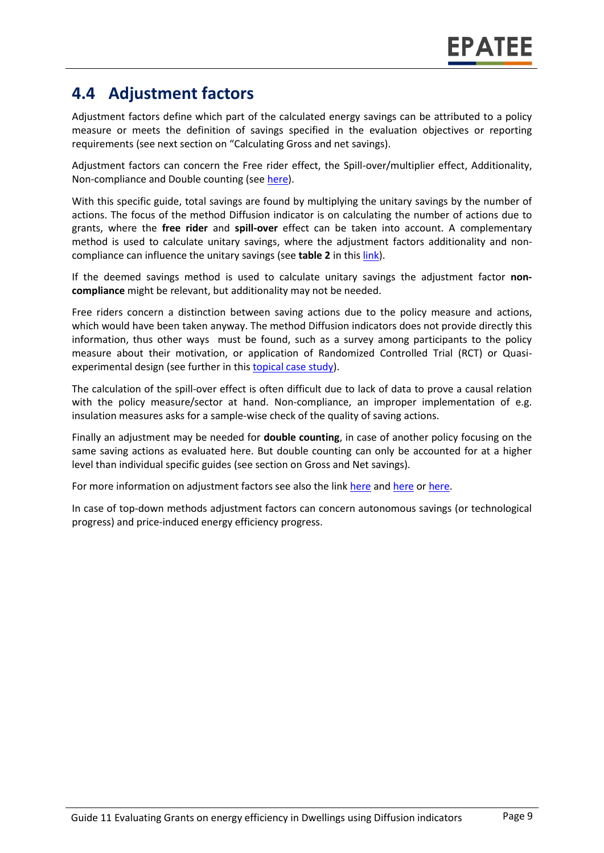### **4.4 Adjustment factors**

Adjustment factors define which part of the calculated energy savings can be attributed to a policy measure or meets the definition of savings specified in the evaluation objectives or reporting requirements (see next section on "Calculating Gross and net savings).

Adjustment factors can concern the Free rider effect, the Spill-over/multiplier effect, Additionality, Non-compliance and Double counting (se[e here\)](https://www.epatee-toolbox.eu/wp-content/uploads/2019/04/Saving_calculation_methods_for_EPATEE_Toobox_2019_04_24.pdf).

With this specific guide, total savings are found by multiplying the unitary savings by the number of actions. The focus of the method Diffusion indicator is on calculating the number of actions due to grants, where the **free rider** and **spill-over** effect can be taken into account. A complementary method is used to calculate unitary savings, where the adjustment factors additionality and noncompliance can influence the unitary savings (see **table 2** in this [link\)](https://www.epatee-toolbox.eu/wp-content/uploads/2019/04/Saving_calculation_methods_for_EPATEE_Toobox_2019_04_24.pdf).

If the deemed savings method is used to calculate unitary savings the adjustment factor **noncompliance** might be relevant, but additionality may not be needed.

Free riders concern a distinction between saving actions due to the policy measure and actions, which would have been taken anyway. The method Diffusion indicators does not provide directly this information, thus other ways must be found, such as a survey among participants to the policy measure about their motivation, or application of Randomized Controlled Trial (RCT) or Quasiexperimental design (see further in this [topical case study\)](https://www.epatee-toolbox.eu/wp-content/uploads/2018/10/epatee_topical_case_study_evaluating_net_energy_savings.pdf).

The calculation of the spill-over effect is often difficult due to lack of data to prove a causal relation with the policy measure/sector at hand. Non-compliance, an improper implementation of e.g. insulation measures asks for a sample-wise check of the quality of saving actions.

Finally an adjustment may be needed for **double counting**, in case of another policy focusing on the same saving actions as evaluated here. But double counting can only be accounted for at a higher level than individual specific guides (see section on Gross and Net savings).

For more information on adjustment factors see also the link [here](https://www.epatee-lib.eu/media/docs/EMEEES_WP3_Report_Final.pdf) an[d here](https://www.academia.edu/14979876/Evaluating_energy_efficiency_policy_measures_and_DSM_programmes) o[r here.](https://www.epatee-lib.eu/media/docs/D4_EMEEES_Final.pdf)

In case of top-down methods adjustment factors can concern autonomous savings (or technological progress) and price-induced energy efficiency progress.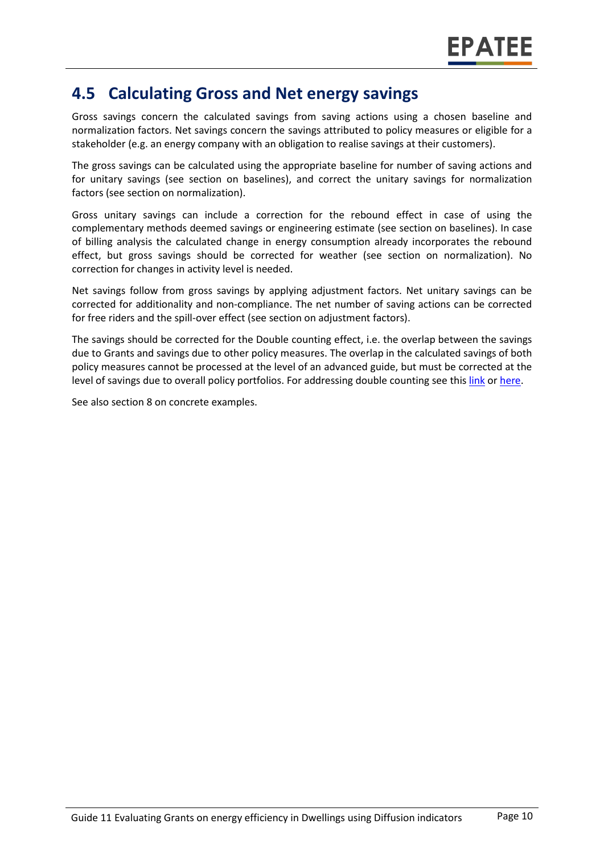#### **4.5 Calculating Gross and Net energy savings**

Gross savings concern the calculated savings from saving actions using a chosen baseline and normalization factors. Net savings concern the savings attributed to policy measures or eligible for a stakeholder (e.g. an energy company with an obligation to realise savings at their customers).

The gross savings can be calculated using the appropriate baseline for number of saving actions and for unitary savings (see section on baselines), and correct the unitary savings for normalization factors (see section on normalization).

Gross unitary savings can include a correction for the rebound effect in case of using the complementary methods deemed savings or engineering estimate (see section on baselines). In case of billing analysis the calculated change in energy consumption already incorporates the rebound effect, but gross savings should be corrected for weather (see section on normalization). No correction for changes in activity level is needed.

Net savings follow from gross savings by applying adjustment factors. Net unitary savings can be corrected for additionality and non-compliance. The net number of saving actions can be corrected for free riders and the spill-over effect (see section on adjustment factors).

The savings should be corrected for the Double counting effect, i.e. the overlap between the savings due to Grants and savings due to other policy measures. The overlap in the calculated savings of both policy measures cannot be processed at the level of an advanced guide, but must be corrected at the level of savings due to overall policy portfolios. For addressing double counting see thi[s link](https://www.academia.edu/14979876/Evaluating_energy_efficiency_policy_measures_and_DSM_programmes) or [here.](https://www.epatee-lib.eu/media/docs/D4_EMEEES_Final.pdf)

See also section 8 on concrete examples.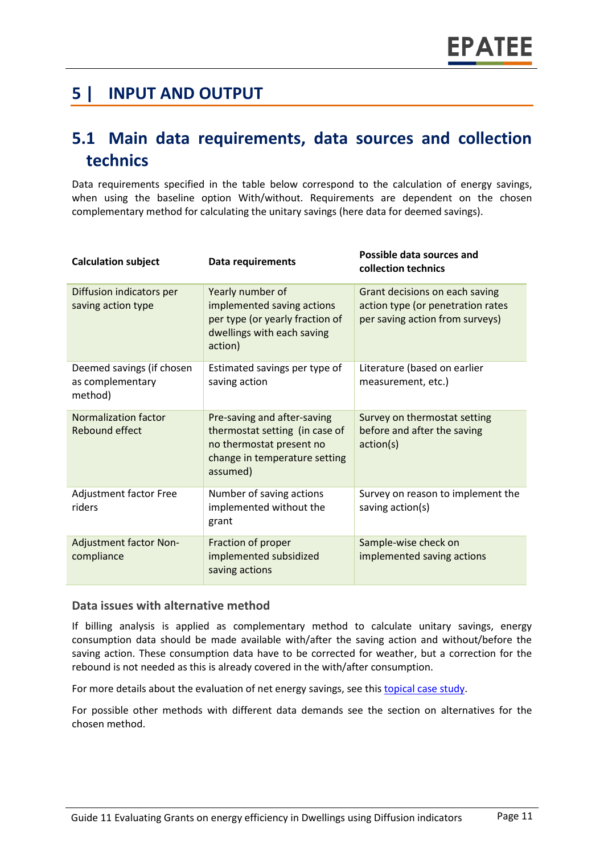### **5 | INPUT AND OUTPUT**

### **5.1 Main data requirements, data sources and collection technics**

Data requirements specified in the table below correspond to the calculation of energy savings, when using the baseline option With/without. Requirements are dependent on the chosen complementary method for calculating the unitary savings (here data for deemed savings).

| <b>Calculation subject</b>                               | Data requirements                                                                                                                      | Possible data sources and<br>collection technics                                                       |
|----------------------------------------------------------|----------------------------------------------------------------------------------------------------------------------------------------|--------------------------------------------------------------------------------------------------------|
| Diffusion indicators per<br>saving action type           | Yearly number of<br>implemented saving actions<br>per type (or yearly fraction of<br>dwellings with each saving<br>action)             | Grant decisions on each saving<br>action type (or penetration rates<br>per saving action from surveys) |
| Deemed savings (if chosen<br>as complementary<br>method) | Estimated savings per type of<br>saving action                                                                                         | Literature (based on earlier<br>measurement, etc.)                                                     |
| <b>Normalization factor</b><br>Rebound effect            | Pre-saving and after-saving<br>thermostat setting (in case of<br>no thermostat present no<br>change in temperature setting<br>assumed) | Survey on thermostat setting<br>before and after the saving<br>action(s)                               |
| Adjustment factor Free<br>riders                         | Number of saving actions<br>implemented without the<br>grant                                                                           | Survey on reason to implement the<br>saving action(s)                                                  |
| <b>Adjustment factor Non-</b><br>compliance              | Fraction of proper<br>implemented subsidized<br>saving actions                                                                         | Sample-wise check on<br>implemented saving actions                                                     |

#### **Data issues with alternative method**

If billing analysis is applied as complementary method to calculate unitary savings, energy consumption data should be made available with/after the saving action and without/before the saving action. These consumption data have to be corrected for weather, but a correction for the rebound is not needed as this is already covered in the with/after consumption.

For more details about the evaluation of net energy savings, see this [topical case study.](https://www.epatee-toolbox.eu/wp-content/uploads/2018/10/epatee_topical_case_study_evaluating_net_energy_savings.pdf)

For possible other methods with different data demands see the section on alternatives for the chosen method.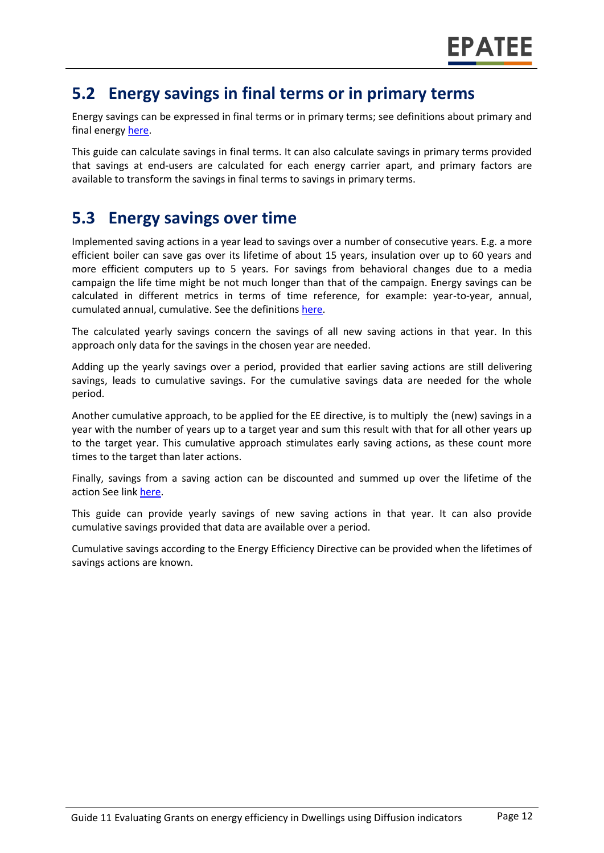#### **5.2 Energy savings in final terms or in primary terms**

Energy savings can be expressed in final terms or in primary terms; see definitions about primary and final energy [here.](https://www.epatee-toolbox.eu/wp-content/uploads/2018/10/Definitions-and-typologies-related-to-energy-savings-evaluation.pdf)

This guide can calculate savings in final terms. It can also calculate savings in primary terms provided that savings at end-users are calculated for each energy carrier apart, and primary factors are available to transform the savings in final terms to savings in primary terms.

### **5.3 Energy savings over time**

Implemented saving actions in a year lead to savings over a number of consecutive years. E.g. a more efficient boiler can save gas over its lifetime of about 15 years, insulation over up to 60 years and more efficient computers up to 5 years. For savings from behavioral changes due to a media campaign the life time might be not much longer than that of the campaign. Energy savings can be calculated in different metrics in terms of time reference, for example: year-to-year, annual, cumulated annual, cumulative. See the definitions [here.](https://www.epatee-toolbox.eu/wp-content/uploads/2018/10/Definitions-and-typologies-related-to-energy-savings-evaluation.pdf)

The calculated yearly savings concern the savings of all new saving actions in that year. In this approach only data for the savings in the chosen year are needed.

Adding up the yearly savings over a period, provided that earlier saving actions are still delivering savings, leads to cumulative savings. For the cumulative savings data are needed for the whole period.

Another cumulative approach, to be applied for the EE directive, is to multiply the (new) savings in a year with the number of years up to a target year and sum this result with that for all other years up to the target year. This cumulative approach stimulates early saving actions, as these count more times to the target than later actions.

Finally, savings from a saving action can be discounted and summed up over the lifetime of the action See link [here.](https://www.epatee-toolbox.eu/wp-content/uploads/2018/10/Definitions-and-typologies-related-to-energy-savings-evaluation.pdf)

This guide can provide yearly savings of new saving actions in that year. It can also provide cumulative savings provided that data are available over a period.

Cumulative savings according to the Energy Efficiency Directive can be provided when the lifetimes of savings actions are known.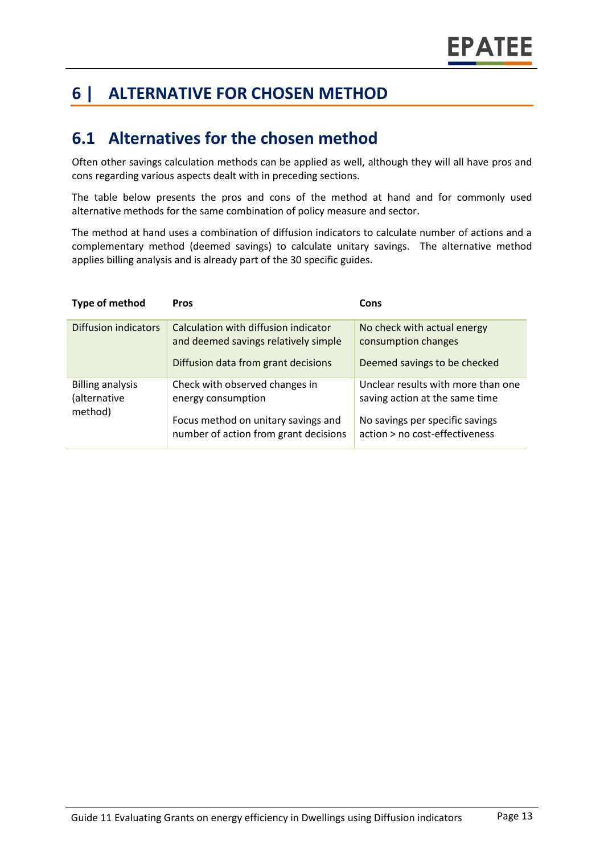# **6 | ALTERNATIVE FOR CHOSEN METHOD**

### **6.1 Alternatives for the chosen method**

Often other savings calculation methods can be applied as well, although they will all have pros and cons regarding various aspects dealt with in preceding sections.

The table below presents the pros and cons of the method at hand and for commonly used alternative methods for the same combination of policy measure and sector.

The method at hand uses a combination of diffusion indicators to calculate number of actions and a complementary method (deemed savings) to calculate unitary savings. The alternative method applies billing analysis and is already part of the 30 specific guides.

| Type of method                                     | <b>Pros</b>                                                                                                                          | Cons                                                                                                                                      |
|----------------------------------------------------|--------------------------------------------------------------------------------------------------------------------------------------|-------------------------------------------------------------------------------------------------------------------------------------------|
| Diffusion indicators                               | Calculation with diffusion indicator<br>and deemed savings relatively simple<br>Diffusion data from grant decisions                  | No check with actual energy<br>consumption changes<br>Deemed savings to be checked                                                        |
| <b>Billing analysis</b><br>(alternative<br>method) | Check with observed changes in<br>energy consumption<br>Focus method on unitary savings and<br>number of action from grant decisions | Unclear results with more than one<br>saving action at the same time<br>No savings per specific savings<br>action > no cost-effectiveness |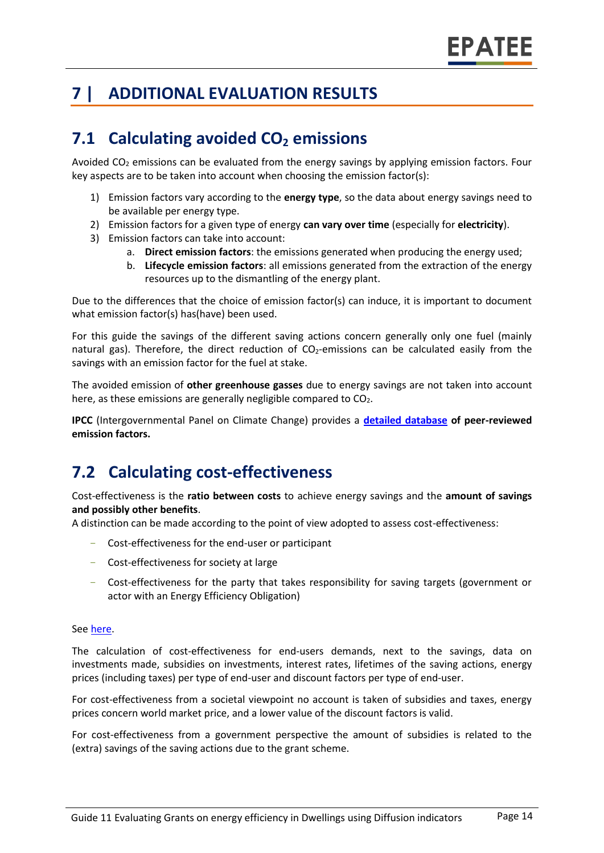# **7 | ADDITIONAL EVALUATION RESULTS**

# **7.1 Calculating avoided CO<sup>2</sup> emissions**

Avoided  $CO<sub>2</sub>$  emissions can be evaluated from the energy savings by applying emission factors. Four key aspects are to be taken into account when choosing the emission factor(s):

- 1) Emission factors vary according to the **energy type**, so the data about energy savings need to be available per energy type.
- 2) Emission factors for a given type of energy **can vary over time** (especially for **electricity**).
- 3) Emission factors can take into account:
	- a. **Direct emission factors**: the emissions generated when producing the energy used;
	- b. **Lifecycle emission factors**: all emissions generated from the extraction of the energy resources up to the dismantling of the energy plant.

Due to the differences that the choice of emission factor(s) can induce, it is important to document what emission factor(s) has(have) been used.

For this guide the savings of the different saving actions concern generally only one fuel (mainly natural gas). Therefore, the direct reduction of  $CO<sub>2</sub>$ -emissions can be calculated easily from the savings with an emission factor for the fuel at stake.

The avoided emission of **other greenhouse gasses** due to energy savings are not taken into account here, as these emissions are generally negligible compared to  $CO<sub>2</sub>$ .

**IPCC** (Intergovernmental Panel on Climate Change) provides a **[detailed database](https://www.ipcc-nggip.iges.or.jp/EFDB/main.php) of peer-reviewed emission factors.**

# **7.2 Calculating cost-effectiveness**

Cost-effectiveness is the **ratio between costs** to achieve energy savings and the **amount of savings and possibly other benefits**.

A distinction can be made according to the point of view adopted to assess cost-effectiveness:

- Cost-effectiveness for the end-user or participant
- Cost-effectiveness for society at large
- Cost-effectiveness for the party that takes responsibility for saving targets (government or actor with an Energy Efficiency Obligation)

#### Se[e here.](https://epatee.eu/sites/default/files/epatee_report_on_the_knowledge_base.pdf)

The calculation of cost-effectiveness for end-users demands, next to the savings, data on investments made, subsidies on investments, interest rates, lifetimes of the saving actions, energy prices (including taxes) per type of end-user and discount factors per type of end-user.

For cost-effectiveness from a societal viewpoint no account is taken of subsidies and taxes, energy prices concern world market price, and a lower value of the discount factors is valid.

For cost-effectiveness from a government perspective the amount of subsidies is related to the (extra) savings of the saving actions due to the grant scheme.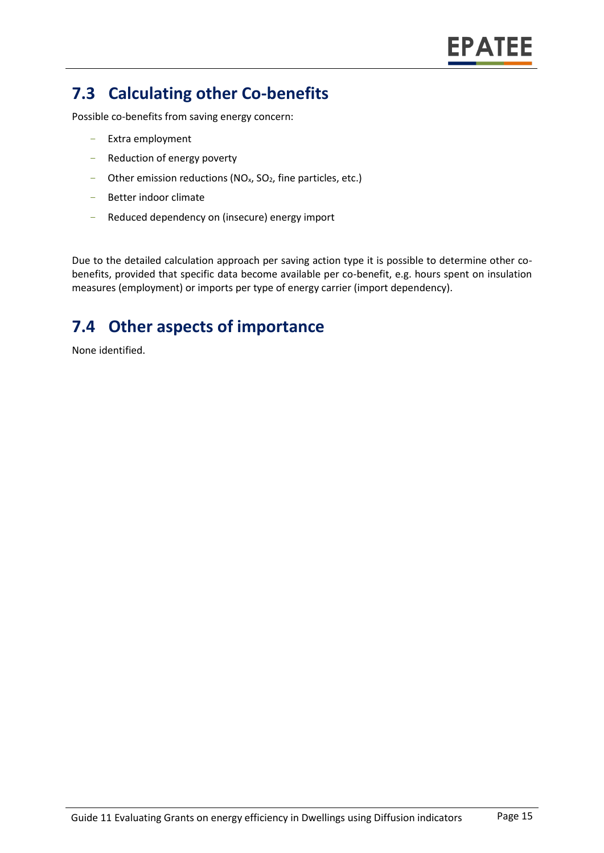# **7.3 Calculating other Co-benefits**

Possible co-benefits from saving energy concern:

- Extra employment
- Reduction of energy poverty
- Other emission reductions ( $NO<sub>x</sub>$ ,  $SO<sub>2</sub>$ , fine particles, etc.)
- Better indoor climate
- Reduced dependency on (insecure) energy import

Due to the detailed calculation approach per saving action type it is possible to determine other cobenefits, provided that specific data become available per co-benefit, e.g. hours spent on insulation measures (employment) or imports per type of energy carrier (import dependency).

# **7.4 Other aspects of importance**

None identified.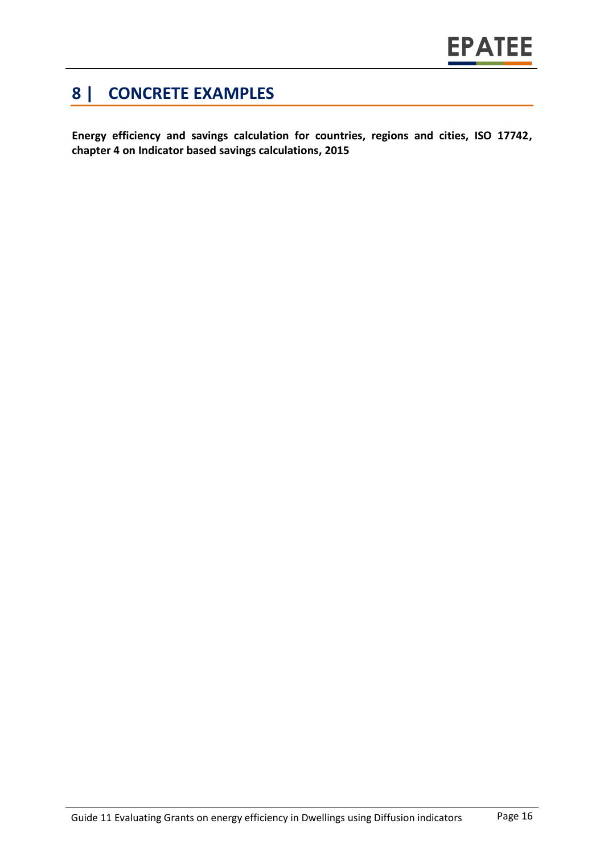# **8 | CONCRETE EXAMPLES**

**Energy efficiency and savings calculation for countries, regions and cities, ISO 17742, chapter 4 on Indicator based savings calculations, 2015**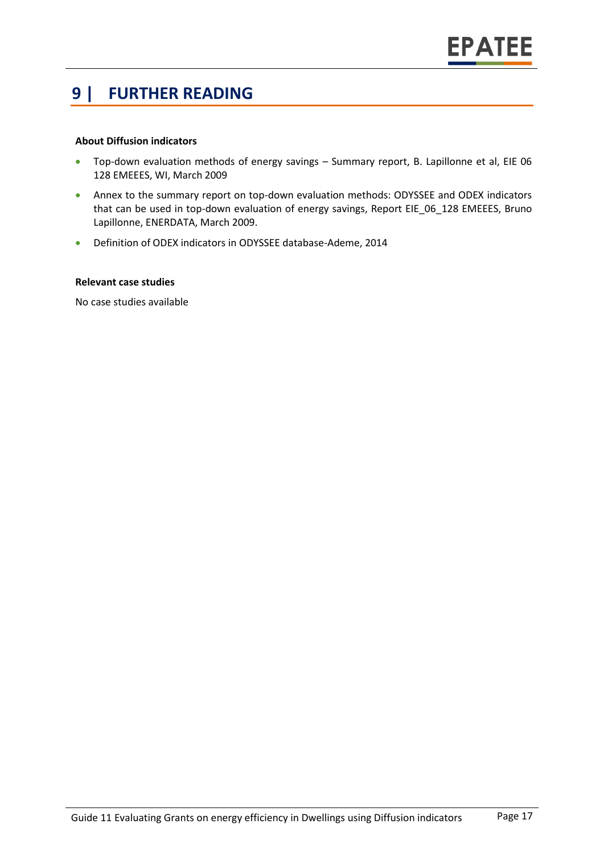#### **9 | FURTHER READING**

#### **About Diffusion indicators**

- Top-down evaluation methods of energy savings Summary report, B. Lapillonne et al, EIE 06 128 EMEEES, WI, March 2009
- Annex to the summary report on top-down evaluation methods: ODYSSEE and ODEX indicators that can be used in top-down evaluation of energy savings, Report EIE 06 128 EMEEES, Bruno Lapillonne, ENERDATA, March 2009.
- Definition of ODEX indicators in ODYSSEE database-Ademe, 2014

#### **Relevant case studies**

No case studies available